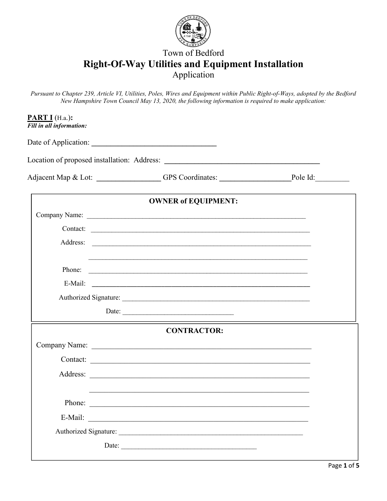

# Town of Bedford **Right-Of-Way Utilities and Equipment Installation**  Application

*Pursuant to Chapter 239, Article VI, Utilities, Poles, Wires and Equipment within Public Right-of-Ways, adopted by the Bedford New Hampshire Town Council May 13, 2020, the following information is required to make application:*

|        | Adjacent Map & Lot: _______________GPS Coordinates: ___________________Pole Id:                                                                                                                                                |  |  |  |
|--------|--------------------------------------------------------------------------------------------------------------------------------------------------------------------------------------------------------------------------------|--|--|--|
|        | <b>OWNER of EQUIPMENT:</b>                                                                                                                                                                                                     |  |  |  |
|        |                                                                                                                                                                                                                                |  |  |  |
|        | Contact:                                                                                                                                                                                                                       |  |  |  |
|        |                                                                                                                                                                                                                                |  |  |  |
|        |                                                                                                                                                                                                                                |  |  |  |
| Phone: | <u> Andreas Andreas Andreas Andreas Andreas Andreas Andreas Andreas Andreas Andreas Andreas Andreas Andreas Andr</u>                                                                                                           |  |  |  |
|        | E-Mail: 2008. 2008. 2010. 2010. 2010. 2010. 2010. 2010. 2010. 2010. 2010. 2010. 2010. 2010. 2010. 2010. 2010. 2010. 2010. 2010. 2010. 2010. 2010. 2010. 2010. 2010. 2010. 2010. 2010. 2010. 2010. 2010. 2010. 2010. 2010. 2010 |  |  |  |
|        |                                                                                                                                                                                                                                |  |  |  |
|        | Date:                                                                                                                                                                                                                          |  |  |  |
|        | <b>CONTRACTOR:</b>                                                                                                                                                                                                             |  |  |  |
|        |                                                                                                                                                                                                                                |  |  |  |
|        | Contact:                                                                                                                                                                                                                       |  |  |  |
|        |                                                                                                                                                                                                                                |  |  |  |
|        |                                                                                                                                                                                                                                |  |  |  |
|        | Phone:                                                                                                                                                                                                                         |  |  |  |
|        | E-Mail:                                                                                                                                                                                                                        |  |  |  |
|        | Authorized Signature:                                                                                                                                                                                                          |  |  |  |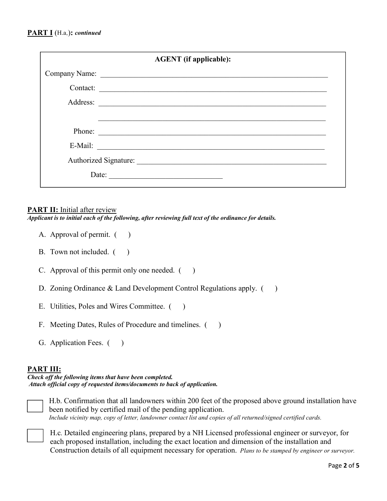|          | <b>AGENT</b> (if applicable):                                                                                         |
|----------|-----------------------------------------------------------------------------------------------------------------------|
|          | Company Name:                                                                                                         |
| Contact: | <u> 1980 - Jan Barbara, martxa alemaniar argumento de la contrada de la contrada de la contrada de la contrada de</u> |
|          | Address:                                                                                                              |
|          |                                                                                                                       |
| Phone:   |                                                                                                                       |
| E-Mail:  |                                                                                                                       |
|          |                                                                                                                       |
| Date:    |                                                                                                                       |
|          |                                                                                                                       |

#### **PART II:** Initial after review

*Applicant is to initial each of the following, after reviewing full text of the ordinance for details.* 

- A. Approval of permit.  $($ )
- B. Town not included.  $($
- C. Approval of this permit only one needed.  $($ )
- D. Zoning Ordinance & Land Development Control Regulations apply. ()
- E. Utilities, Poles and Wires Committee. ()
- F. Meeting Dates, Rules of Procedure and timelines. ()
- G. Application Fees. ()

#### **PART III:**

*Check off the following items that have been completed. Attach official copy of requested items/documents to back of application.*



H.b. Confirmation that all landowners within 200 feet of the proposed above ground installation have been notified by certified mail of the pending application. *Include vicinity map, copy of letter, landowner contact list and copies of all returned/signed certified cards.*



H.c*.* Detailed engineering plans, prepared by a NH Licensed professional engineer or surveyor, for each proposed installation, including the exact location and dimension of the installation and Construction details of all equipment necessary for operation. *Plans to be stamped by engineer or surveyor.*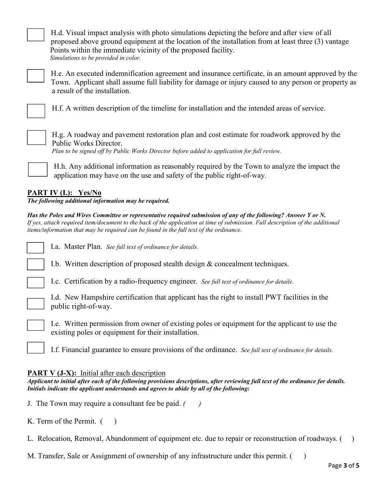H.d. Visual impact analysis with photo simulations depicting the before and after view of all proposed above ground equipment at the location of the installation from at least three (3) vantage Points within the immediate vicinity of the proposed facility. *Simulations to be provided in color.*



H.e. An executed indemnification agreement and insurance certificate, in an amount approved by the Town. Applicant shall assume full liability for damage or injury caused to any person or property as a result of the installation.



H.f. A written description of the timeline for installation and the intended areas of service.



H.g. A roadway and pavement restoration plan and cost estimate for roadwork approved by the Public Works Director.

*Plan to be signed off by Public Works Director before added to application for full review.*

H.h. Any additional information as reasonably required by the Town to analyze the impact the application may have on the use and safety of the public right-of-way.

## **PART IV (I.): Yes/No**

*The following additional information may be required.*

*Has the Poles and Wires Committee or representative required submission of any of the following? Answer Y or N. If yes, attach required item/document to the back of the application at time of submission. Full description of the additional items/information that may be required can be found in the full text of the ordinance.*

I.a. Master Plan. *See full text of ordinance for details.*

I.b. Written description of proposed stealth design & concealment techniques.

I.c. Certification by a radio-frequency engineer. *See full text of ordinance for details.*

I.d. New Hampshire certification that applicant has the right to install PWT facilities in the public right-of-way.



I.e. Written permission from owner of existing poles or equipment for the applicant to use the existing poles or equipment for their installation.

I.f. Financial guarantee to ensure provisions of the ordinance. *See full text of ordinance for details.*

### **PART V (J-X):** Initial after each description

*Applicant to initial after each of the following provisions descriptions, after reviewing full text of the ordinance for details. Initials indicate the applicant understands and agrees to abide by all of the following:*

J. The Town may require a consultant fee be paid. *( )*

K. Term of the Permit.  $($ )

L. Relocation, Removal, Abandonment of equipment etc. due to repair or reconstruction of roadways. ()

M. Transfer, Sale or Assignment of ownership of any infrastructure under this permit. ()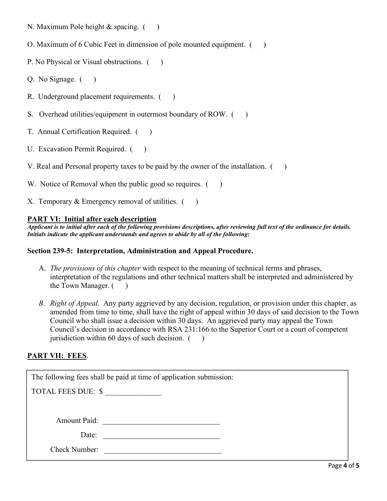- N. Maximum Pole height  $&$  spacing.  $($ )
- O. Maximum of 6 Cubic Feet in dimension of pole mounted equipment. ( )
- P. No Physical or Visual obstructions.  $($ )
- Q. No Signage.  $($ )
- R. Underground placement requirements.  $($ )
- S. Overhead utilities/equipment in outermost boundary of ROW. ()
- T. Annual Certification Required. ()
- U. Excavation Permit Required. ()
- V. Real and Personal property taxes to be paid by the owner of the installation.  $($ )
- W. Notice of Removal when the public good so requires.  $($ )
- X. Temporary  $&$  Emergency removal of utilities.  $($ )

#### **PART VI: Initial after each description**

*Applicant is to initial after each of the following provisions descriptions, after reviewing full text of the ordinance for details. Initials indicate the applicant understands and agrees to abide by all of the following:*

### **Section 239-5: Interpretation, Administration and Appeal Procedure.**

- A. *The provisions of this chapter* with respect to the meaning of technical terms and phrases, interpretation of the regulations and other technical matters shall be interpreted and administered by the Town Manager. ( )
- *B. Right of Appeal.* Any party aggrieved by any decision, regulation, or provision under this chapter, as amended from time to time, shall have the right of appeal within 30 days of said decision to the Town Council who shall issue a decision within 30 days. An aggrieved party may appeal the Town Council's decision in accordance with RSA 231:166 to the Superior Court or a court of competent jurisdiction within 60 days of such decision.  $($ )

### **PART VII: FEES**.

| The following fees shall be paid at time of application submission:               |  |
|-----------------------------------------------------------------------------------|--|
| TOTAL FEES DUE: \$                                                                |  |
|                                                                                   |  |
| <b>Amount Paid:</b><br><u> 1980 - John Stone, Amerikaansk politiker (</u> † 1918) |  |
| Date:                                                                             |  |
| <b>Check Number:</b>                                                              |  |